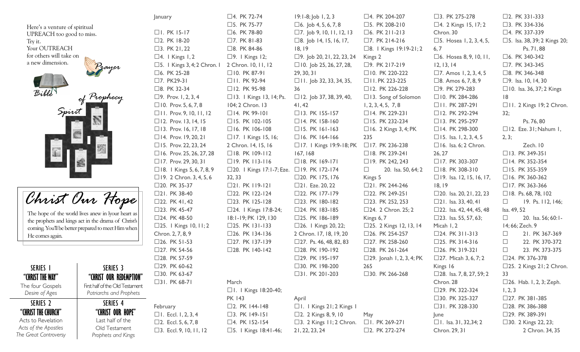Here's a venture of spiritual UPREACH too good to miss. Try it. Your OUTREACH for others will take on ATTS a new dimension. Bible  $\partial_{r}^{2}P_{r}$ Spirit PATRIARCHS Christ Our The hope of the world lives and the prophets and kings act in the coming. You'll be better prepared He comes again. SERIES I "(HF "CHRIST THE WAY"

The four Gospels Desire of Ages

SERIES<sub>2</sub> "CHRIST THE CHURCH" Acts to Revelation Acts of the Apostles The Great Controversy

|                                 | January                                          | $\square$ 4. PK 72-74                     | $19:1-8$ ; Job 1, 2, 3                | □4. PK 204-207                   | $\square$ 3. PK 275-278          | $\square$ 2. PK 331-333            |
|---------------------------------|--------------------------------------------------|-------------------------------------------|---------------------------------------|----------------------------------|----------------------------------|------------------------------------|
| itual                           |                                                  | $\square$ 5. PK 75-77                     | $\Box$ 6. Job 4, 5, 6, 7, 8           | $\square$ 5. PK 208-210          | $\Box$ 4. 2 Kings 15, 17; 2      | $\square$ 3. PK 334-336            |
| o miss.                         | $\Box$ I. PK 15-17                               | $\square$ 6. PK 78-80                     | $\Box$ 7. Job 9, 10, 11, 12, 13       | $\square$ 6. PK 211-213          | Chron. 30                        | $\Box$ 4. PK 337-339               |
|                                 | $\square$ 2. PK 18-20                            | $\square$ 7. PK 81-83                     | $\square$ 8. Job 14, 15, 16, 17,      | $\square$ 7. PK 214-216          | □5. Hosea 1, 2, 3, 4, 5,         | □5. Isa. 38, 39; 2 Kings 20;       |
|                                 | $\Box$ 3. PK 21, 22                              | □8. PK 84-86                              | 18, 19                                | $\square$ 8.   Kings 19:19-21; 2 | 6, 7                             | Ps. 71, 88                         |
|                                 | $\Box$ 4.   Kings I, 2                           | $\square$ 9.   Kings   2;                 | $\square$ 9. Job 20, 21, 22, 23, 24   | Kings 2                          | $\square$ 6. Hosea 8, 9, 10, 11, | $\square$ 6. PK 340-342            |
|                                 | $\square$ 5.   Kings 3, 4; 2 Chron.              | 2 Chron. 10, 11, 12                       | $\Box$ 10. Job 25, 26, 27, 28,        | $\square$ 9. PK 217-219          | 12, 13, 14                       | $\square$ 7. PK 343-345            |
|                                 | □6. PK 25-28                                     | $\Box$ 10. PK 87-91                       | 29, 30, 31                            | □ 10. PK 220-222                 | $\Box$ 7. Amos 1, 2, 3, 4, 5     | $\square$ 8. PK 346-348            |
|                                 | $\square$ 7. PK29-31                             | $\Box$ II. PK 92-94                       | $\Box$ I I. Job 32, 33, 34, 35,       | $\Box$ I I . PK 223-225          | $\square$ 8. Amos 6, 7, 8, 9     | $\Box$ 9. Isa. 10, 14, 30          |
|                                 | $\square$ 8. PK 32-34                            | $\Box$ 12. PK 95-98                       | 36                                    | □ 12. PK 226-228                 | □9. PK 279-283                   | □ 10. Isa. 36, 37; 2 Kings         |
| f Prophecy                      | $\Box$ 9. Prov. I, 2, 3, 4                       | $\Box$ 13.   Kings 13, 14; Ps.            | $\Box$ 12. Job 37, 38, 39, 40,        | $\Box$ 13. Song of Solomon       | □ 10. PK 284-286                 | 8                                  |
|                                 | $\Box$ 10. Prov. 5, 6, 7, 8                      | 104; 2 Chron. 13                          | 41, 42                                | 1, 2, 3, 4, 5, 7, 8              | $\Box$ II. PK 287-291            | $\Box$ II. 2 Kings 19; 2 Chron.    |
|                                 | $\Box$ II. Prov. 9, 10, 11, 12                   | $\Box$ 14. PK 99-101                      | □ 13. PK 155-157                      | $\Box$ 14. PK 229-231            | $\Box$ 12. PK 292-294            | 32;                                |
|                                 | $\Box$ 12. Prov. 13, 14, 15                      | $\Box$ 15. PK 102-105                     | $\Box$ 14. PK 158-160                 | □ 15. PK 232-234                 | $\Box$ 13. PK 295-297            | Ps. 76, 80                         |
|                                 | □ 13. Prov. 16, 17, 18                           | $\Box$ 16. PK 106-108                     | $\Box$ 15. PK 161-163                 | $\Box$ 16. 2 Kings 3, 4; PK      | □ 14. PK 298-300                 | $\Box$ 12. Eze. 31; Nahum 1,       |
|                                 | $\Box$ 14. Prov. 19, 20, 21                      | $\Box$ 17.   Kings 15, 16;                | $\Box$ 16. PK 164-166                 | 235                              | $\Box$ 15. Isa. 1, 2, 3, 4, 5    | 2, 3;                              |
|                                 | $\Box$ 15. Prov. 22, 23, 24                      | 2 Chron. 14, 15, 16                       | $\Box$ 17.   Kings 19:9-18; PK        | □ 17. PK 236-238                 | $\Box$ 16. Isa. 6; 2 Chron.      | Zech. 10                           |
|                                 | $\Box$ 16. Prov. 25, 26, 27, 28                  | $\Box$ 18. PK 109-112                     | 167, 168                              | $\Box$ 18. PK 239-241            | 26, 27                           | □ 13. PK 349-351                   |
|                                 | $\Box$ 17. Prov. 29, 30, 31                      | $\Box$ 19. PK 113-116                     | $\Box$ 18. PK 169-171                 | □ 19. PK 242, 243                | □ 17. PK 303-307                 | $\Box$ 14. PK 352-354              |
|                                 | $\Box$ 18.   Kings 5, 6, 7, 8, 9                 | □20. I Kings 17:1-7; Eze. □19. PK 172-174 |                                       | 20. Isa. 50, 64; 2<br>$\Box$     | $\Box$ 18. PK 308-310            | □ 15. PK 355-359                   |
|                                 | $\Box$ 19. 2 Chron. 3, 4, 5, 6                   | 32, 33                                    | □20. PK 175, 176                      | Kings 5                          | $\Box$ 19. Isa. 12, 15, 16, 17,  | $\Box$ 16. PK 360-362              |
|                                 | $\square$ 20. PK 35-37                           | $\Box$ 21. PK $\Box$ 9-121                | $\square$ 21. Eze. 20, 22             | $\square$ 21. PK 244-246         | 18, 19                           | $\Box$ 17. PK 363-366              |
|                                 | $\square$ 21. PK 38-40                           | $\square$ 22. PK 122-124                  | $\square$ 22. PK 177-179              | □22. PK 249-251                  | $\Box$ 20. Isa. 20, 21, 22, 23   | $\Box$ 18. Ps. 68, 78, 102         |
| m Hope                          | $\square$ 22. PK 41, 42                          | □23. PK 125-128                           | $\square$ 23. PK 180-182              | $\square$ 23. PK 252, 253        | $\Box$ 21. Isa. 33, 40, 41       | $19.$ Ps. $112, 146;$<br>$\Box$    |
| ves anew in lyour heart as      | $\square$ 23. PK 45-47                           | □24.   Kings $17:8-24$ ;                  | $\square$ 24. PK 183-185              | $\Box$ 24. 2 Chron. 25; 2        | □22. Isa. 42, 44, 45, 48         | Isa. 49, 52                        |
| ct in the drama of Christ's     | □24. PK 48-50                                    | 18:1-19; PK 129, 130                      | □25. PK $186-189$                     | Kings 6, 7                       | $\Box$ 23. Isa. 55, 57, 63;      | 20. Isa. 56; 60:1-<br>$\Box$       |
| repared to meet Him when        | $\square$ 25.   Kings $\square$ 0, $\square$ ; 2 | □25. PK $131-133$                         | □26. I Kings 20, 22;                  | □25. 2 Kings 12, 13, 14          | Micah 1, 2                       | 14; 66; Zech. 9                    |
|                                 | Chron. 2, 7, 8, 9                                | □26. PK $134-136$                         | 2 Chron. 17, 18, 19, 20               | □26. PK 254-257                  | □24. PK $311-313$                | $\Box$<br>21. PK 367-369           |
|                                 | $\square$ 26. PK 51-53                           | □27. PK 137-139                           | □27. Ps. 46, 48, 82, 83               | □27. PK 258-260                  | □25. PK 314-316                  | 22. PK 370-372<br>$\Box$           |
|                                 | $\square$ 27. PK 54-56                           | □28. PK $140-142$                         | □28. PK $190-192$                     | $\square$ 28. PK 261-264         | $\square$ 26. PK 319-321         | $\Box$<br>23. PK 373-375           |
|                                 | $\square$ 28. PK 57-59                           |                                           | $\square$ 29. PK 195-197              | □29. Jonah 1, 2, 3, 4; PK        | □27. Micah 3, 6, 7; 2            | □24. PK 376-378                    |
| SERIES 3                        | □29. PK 60-62                                    |                                           | □30. PK 198-200                       | 265                              | Kings 16                         | $\square$ 25. 2 Kings 21; 2 Chron. |
| "CHRIST OUR REDEMPTION"         | □30. PK 63-67                                    |                                           | □31. PK 201-203                       | □30. PK 266-268                  | $\Box$ 28. Isa. 7, 8, 27, 59; 2  | 33                                 |
| First half of the Old Testament | $\Box$ 31. PK 68-71                              | March                                     |                                       |                                  | Chron. 28                        | $\square$ 26. Hab. I, 2, 3; Zeph.  |
| Patriarchs and Prophets         |                                                  | $\Box$ I. I Kings 18:20-40;               |                                       |                                  | □29. PK 322-324                  | 1, 2, 3                            |
| SERIES 4                        |                                                  | <b>PK 143</b>                             | April                                 |                                  | □30. PK 325-327                  | $\square$ 27. PK 381-385           |
| "CHRIST OUR HOPE"               | February                                         | $\square$ 2. PK 144-148                   | $\Box$ I.   Kings 21; 2 Kings         |                                  | $\Box$ 31. PK 328-330            | □28. PK 386-388                    |
| Last half of the                | $\Box$ I. Eccl. I, 2, 3, 4                       | $\square$ 3. PK 149-151                   | $\Box$ 2. 2 Kings 8, 9, 10            | May                              | June                             | $\Box$ 29. PK 389-391              |
| Old Testament                   | $\Box$ 2. Eccl. 5, 6, 7, 8                       | $\square$ 4. PK 152-154                   | $\square$ 3. 2 Kings $\Pi$ ; 2 Chron. | $\Box$ I. PK 269-271             | $\Box$ I. Isa. 31, 32, 34; 2     | □30. 2 Kings 22, 23;               |
| Prophets and Kings              | $\Box$ 3. Eccl. 9, 10, 11, 12                    | $\square$ 5.   Kings 18:41-46;            | 21, 22, 23, 24                        | □2. PK 272-274                   | Chron. 29, 31                    | 2 Chron. 34, 35                    |